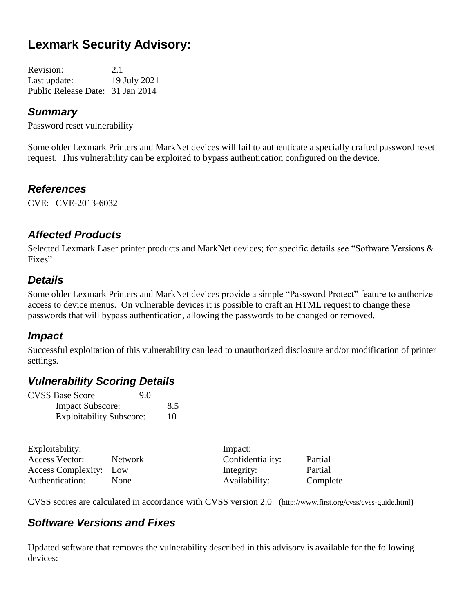# **Lexmark Security Advisory:**

Revision: 2.1 Last update: 19 July 2021 Public Release Date: 31 Jan 2014

#### *Summary*

Password reset vulnerability

Some older Lexmark Printers and MarkNet devices will fail to authenticate a specially crafted password reset request. This vulnerability can be exploited to bypass authentication configured on the device.

#### *References*

CVE: CVE-2013-6032

#### *Affected Products*

Selected Lexmark Laser printer products and MarkNet devices; for specific details see "Software Versions & Fixes"

#### *Details*

Some older Lexmark Printers and MarkNet devices provide a simple "Password Protect" feature to authorize access to device menus. On vulnerable devices it is possible to craft an HTML request to change these passwords that will bypass authentication, allowing the passwords to be changed or removed.

#### *Impact*

Successful exploitation of this vulnerability can lead to unauthorized disclosure and/or modification of printer settings.

#### *Vulnerability Scoring Details*

| <b>CVSS Base Score</b>          | 9.0 |     |
|---------------------------------|-----|-----|
| <b>Impact Subscore:</b>         |     | 8.5 |
| <b>Exploitability Subscore:</b> |     | 10  |

| Exploitability:        |         | Impact:          |          |
|------------------------|---------|------------------|----------|
| Access Vector:         | Network | Confidentiality: | Partial  |
| Access Complexity: Low |         | Integrity:       | Partial  |
| Authentication:        | None    | Availability:    | Complete |

CVSS scores are calculated in accordance with CVSS version 2.0 (http://www.first.org/cvss/cvss-guide.html)

#### *Software Versions and Fixes*

Updated software that removes the vulnerability described in this advisory is available for the following devices: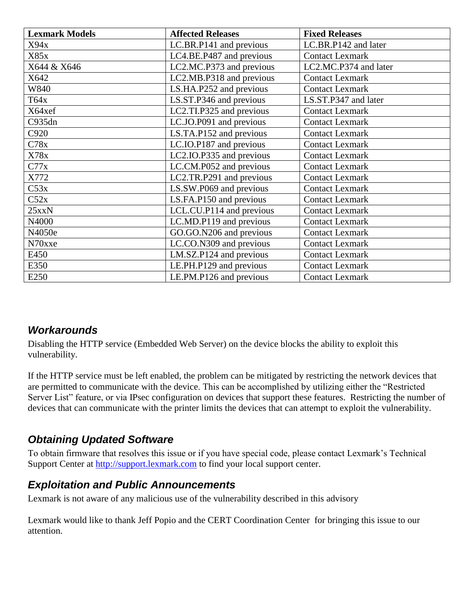| <b>Lexmark Models</b> | <b>Affected Releases</b> | <b>Fixed Releases</b>  |
|-----------------------|--------------------------|------------------------|
| X94x                  | LC.BR.P141 and previous  | LC.BR.P142 and later   |
| X85x                  | LC4.BE.P487 and previous | <b>Contact Lexmark</b> |
| X644 & X646           | LC2.MC.P373 and previous | LC2.MC.P374 and later  |
| X642                  | LC2.MB.P318 and previous | <b>Contact Lexmark</b> |
| W840                  | LS.HA.P252 and previous  | <b>Contact Lexmark</b> |
| T64x                  | LS.ST.P346 and previous  | LS.ST.P347 and later   |
| X64xef                | LC2.TI.P325 and previous | <b>Contact Lexmark</b> |
| C935dn                | LC.JO.P091 and previous  | <b>Contact Lexmark</b> |
| C920                  | LS.TA.P152 and previous  | <b>Contact Lexmark</b> |
| C78x                  | LC.IO.P187 and previous  | <b>Contact Lexmark</b> |
| X78x                  | LC2.IO.P335 and previous | <b>Contact Lexmark</b> |
| C77x                  | LC.CM.P052 and previous  | <b>Contact Lexmark</b> |
| X772                  | LC2.TR.P291 and previous | <b>Contact Lexmark</b> |
| C53x                  | LS.SW.P069 and previous  | <b>Contact Lexmark</b> |
| C52x                  | LS.FA.P150 and previous  | <b>Contact Lexmark</b> |
| 25xxN                 | LCL.CU.P114 and previous | <b>Contact Lexmark</b> |
| N4000                 | LC.MD.P119 and previous  | <b>Contact Lexmark</b> |
| N4050e                | GO.GO.N206 and previous  | <b>Contact Lexmark</b> |
| N70xxe                | LC.CO.N309 and previous  | <b>Contact Lexmark</b> |
| E450                  | LM.SZ.P124 and previous  | <b>Contact Lexmark</b> |
| E350                  | LE.PH.P129 and previous  | <b>Contact Lexmark</b> |
| E250                  | LE.PM.P126 and previous  | <b>Contact Lexmark</b> |

### *Workarounds*

Disabling the HTTP service (Embedded Web Server) on the device blocks the ability to exploit this vulnerability.

If the HTTP service must be left enabled, the problem can be mitigated by restricting the network devices that are permitted to communicate with the device. This can be accomplished by utilizing either the "Restricted Server List" feature, or via IPsec configuration on devices that support these features. Restricting the number of devices that can communicate with the printer limits the devices that can attempt to exploit the vulnerability.

# *Obtaining Updated Software*

To obtain firmware that resolves this issue or if you have special code, please contact Lexmark's Technical Support Center at [http://support.lexmark.com](http://support.lexmark.com/) to find your local support center.

### *Exploitation and Public Announcements*

Lexmark is not aware of any malicious use of the vulnerability described in this advisory

Lexmark would like to thank Jeff Popio and the CERT Coordination Center for bringing this issue to our attention.